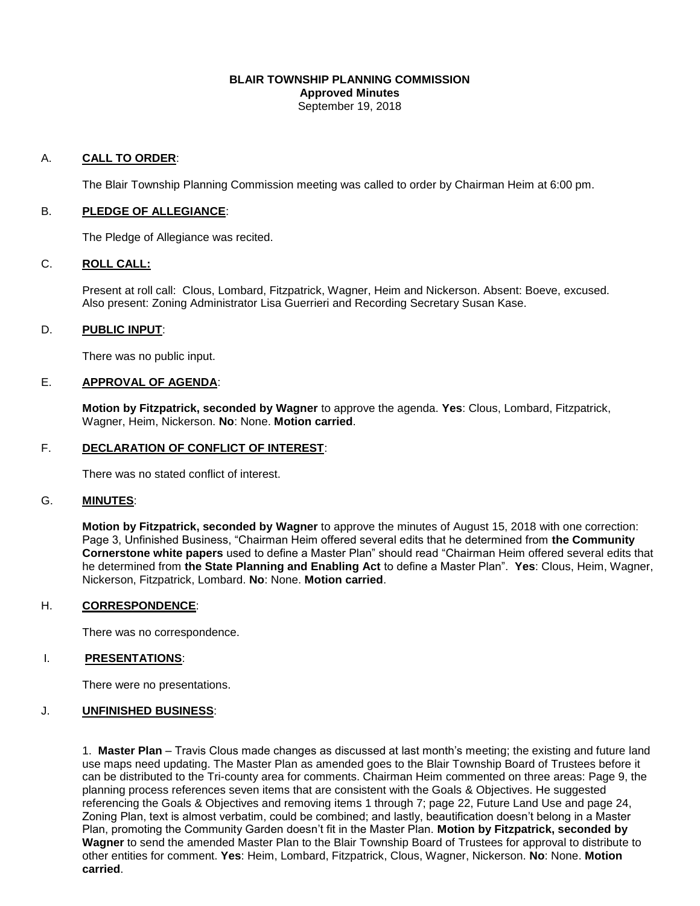#### **BLAIR TOWNSHIP PLANNING COMMISSION Approved Minutes** September 19, 2018

#### A. **CALL TO ORDER**:

The Blair Township Planning Commission meeting was called to order by Chairman Heim at 6:00 pm.

#### B. **PLEDGE OF ALLEGIANCE**:

The Pledge of Allegiance was recited.

### C. **ROLL CALL:**

Present at roll call: Clous, Lombard, Fitzpatrick, Wagner, Heim and Nickerson. Absent: Boeve, excused. Also present: Zoning Administrator Lisa Guerrieri and Recording Secretary Susan Kase.

### D. **PUBLIC INPUT**:

There was no public input.

#### E. **APPROVAL OF AGENDA**:

 **Motion by Fitzpatrick, seconded by Wagner** to approve the agenda. **Yes**: Clous, Lombard, Fitzpatrick, Wagner, Heim, Nickerson. **No**: None. **Motion carried**.

#### F. **DECLARATION OF CONFLICT OF INTEREST**:

There was no stated conflict of interest.

### G. **MINUTES**:

**Motion by Fitzpatrick, seconded by Wagner** to approve the minutes of August 15, 2018 with one correction: Page 3, Unfinished Business, "Chairman Heim offered several edits that he determined from **the Community Cornerstone white papers** used to define a Master Plan" should read "Chairman Heim offered several edits that he determined from **the State Planning and Enabling Act** to define a Master Plan". **Yes**: Clous, Heim, Wagner, Nickerson, Fitzpatrick, Lombard. **No**: None. **Motion carried**.

### H. **CORRESPONDENCE**:

There was no correspondence.

### I. **PRESENTATIONS**:

There were no presentations.

### J. **UNFINISHED BUSINESS**:

1. **Master Plan** – Travis Clous made changes as discussed at last month's meeting; the existing and future land use maps need updating. The Master Plan as amended goes to the Blair Township Board of Trustees before it can be distributed to the Tri-county area for comments. Chairman Heim commented on three areas: Page 9, the planning process references seven items that are consistent with the Goals & Objectives. He suggested referencing the Goals & Objectives and removing items 1 through 7; page 22, Future Land Use and page 24, Zoning Plan, text is almost verbatim, could be combined; and lastly, beautification doesn't belong in a Master Plan, promoting the Community Garden doesn't fit in the Master Plan. **Motion by Fitzpatrick, seconded by Wagner** to send the amended Master Plan to the Blair Township Board of Trustees for approval to distribute to other entities for comment. **Yes**: Heim, Lombard, Fitzpatrick, Clous, Wagner, Nickerson. **No**: None. **Motion carried**.